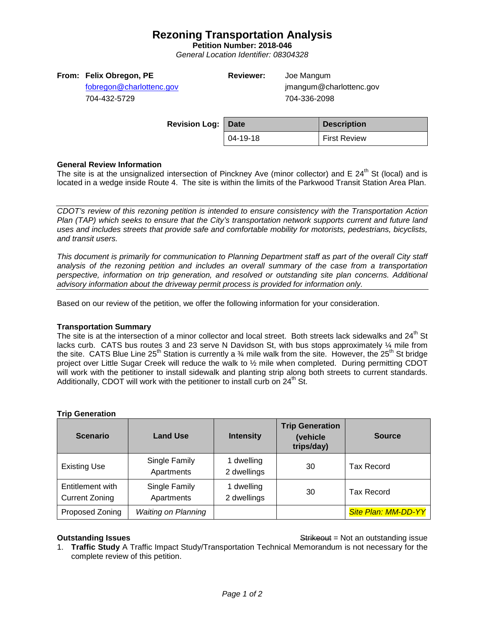# **Rezoning Transportation Analysis**

**Petition Number: 2018-046**

*General Location Identifier: 08304328*

[fobregon@charlottenc.gov](mailto:fobregon@charlottenc.gov) 704-432-5729

**Reviewer:** Joe Mangum

jmangum@charlottenc.gov 704-336-2098

| <b>Revision Log: Date</b> |          | <b>Description</b>  |
|---------------------------|----------|---------------------|
|                           | 04-19-18 | <b>First Review</b> |

### **General Review Information**

The site is at the unsignalized intersection of Pinckney Ave (minor collector) and E  $24<sup>th</sup>$  St (local) and is located in a wedge inside Route 4. The site is within the limits of the Parkwood Transit Station Area Plan.

*CDOT's review of this rezoning petition is intended to ensure consistency with the Transportation Action Plan (TAP) which seeks to ensure that the City's transportation network supports current and future land uses and includes streets that provide safe and comfortable mobility for motorists, pedestrians, bicyclists, and transit users.*

*This document is primarily for communication to Planning Department staff as part of the overall City staff analysis of the rezoning petition and includes an overall summary of the case from a transportation perspective, information on trip generation, and resolved or outstanding site plan concerns. Additional advisory information about the driveway permit process is provided for information only.*

Based on our review of the petition, we offer the following information for your consideration.

#### **Transportation Summary**

The site is at the intersection of a minor collector and local street. Both streets lack sidewalks and 24<sup>th</sup> St lacks curb. CATS bus routes 3 and 23 serve N Davidson St, with bus stops approximately ¼ mile from the site. CATS Blue Line 25<sup>th</sup> Station is currently a  $\frac{3}{4}$  mile walk from the site. However, the 25<sup>th</sup> St bridge project over Little Sugar Creek will reduce the walk to ½ mile when completed. During permitting CDOT will work with the petitioner to install sidewalk and planting strip along both streets to current standards. Additionally, CDOT will work with the petitioner to install curb on  $24<sup>th</sup>$  St.

#### **Trip Generation**

| <b>Scenario</b>                           | <b>Land Use</b>             | <b>Intensity</b>          | <b>Trip Generation</b><br>(vehicle<br>trips/day) | <b>Source</b>              |
|-------------------------------------------|-----------------------------|---------------------------|--------------------------------------------------|----------------------------|
| <b>Existing Use</b>                       | Single Family<br>Apartments | 1 dwelling<br>2 dwellings | 30                                               | <b>Tax Record</b>          |
| Entitlement with<br><b>Current Zoning</b> | Single Family<br>Apartments | 1 dwelling<br>2 dwellings | 30                                               | <b>Tax Record</b>          |
| Proposed Zoning                           | <b>Waiting on Planning</b>  |                           |                                                  | <b>Site Plan: MM-DD-YY</b> |

**Outstanding Issues Container and Strike Example 20 and Strike Container and Strike Outstanding issue** 

1. **Traffic Study** A Traffic Impact Study/Transportation Technical Memorandum is not necessary for the complete review of this petition.